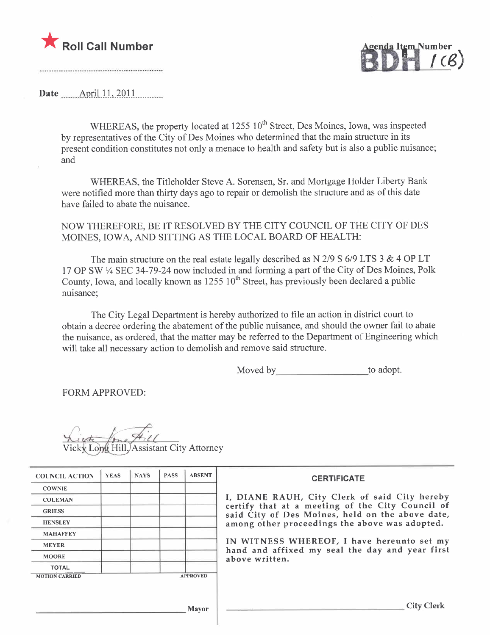

<u>(</u>CB)

Date  $\qquad$  April 11, 2011

WHEREAS, the property located at  $1255 \times 10^{th}$  Street, Des Moines, Iowa, was inspected by representatives of the City of Des Moines who determined that the main structure in its present condition constitutes not only a menace to health and safety but is also a public nuisance; and

WHEREAS, the Titleholder Steve A. Sorensen, Sr. and Mortgage Holder Liberty Bank were notified more than thirty days ago to repair or demolish the structure and as of this date have failed to abate the nuisance.

NOW THEREFORE, BE IT RESOLVED BY THE CITY COUNCIL OF THE CITY OF DES MOINES, IOWA, AND SITTING AS THE LOCAL BOARD OF HEALTH:

The main structure on the real estate legally described as  $N$  2/9 S 6/9 LTS 3 & 4 OP LT 17 OP SW 1/4 SEC 34-79-24 now included in and forming a part of the City of Des Moines, Polk County, Iowa, and locally known as  $1255 \times 10^{th}$  Street, has previously been declared a public nuisance;

The City Legal Department is hereby authorized to file an action in district court to obtain a decree ordering the abatement of the public nuisance, and should the owner fail to abate the nuisance, as ordered, that the matter may be referred to the Department of Engineering which will take all necessary action to demolish and remove said structure.

Moved by to adopt.

FORM APPROVED:

 $\frac{1}{2}$ Assistant City Attorney

| <b>COUNCIL ACTION</b> | <b>YEAS</b> | <b>NAYS</b> | <b>PASS</b> | <b>ABSENT</b>   | <b>CERTIFICATE</b>                                                                                   |
|-----------------------|-------------|-------------|-------------|-----------------|------------------------------------------------------------------------------------------------------|
| <b>COWNIE</b>         |             |             |             |                 |                                                                                                      |
| <b>COLEMAN</b>        |             |             |             |                 | I, DIANE RAUH, City Clerk of said City hereby                                                        |
| <b>GRIESS</b>         |             |             |             |                 | certify that at a meeting of the City Council of<br>said City of Des Moines, held on the above date, |
| <b>HENSLEY</b>        |             |             |             |                 | among other proceedings the above was adopted.                                                       |
| <b>MAHAFFEY</b>       |             |             |             |                 |                                                                                                      |
| <b>MEYER</b>          |             |             |             |                 | IN WITNESS WHEREOF, I have hereunto set my<br>hand and affixed my seal the day and year first        |
| <b>MOORE</b>          |             |             |             |                 | above written.                                                                                       |
| <b>TOTAL</b>          |             |             |             |                 |                                                                                                      |
| <b>MOTION CARRIED</b> |             |             |             | <b>APPROVED</b> |                                                                                                      |
|                       |             |             |             | <b>Mayor</b>    | <b>City Clerk</b>                                                                                    |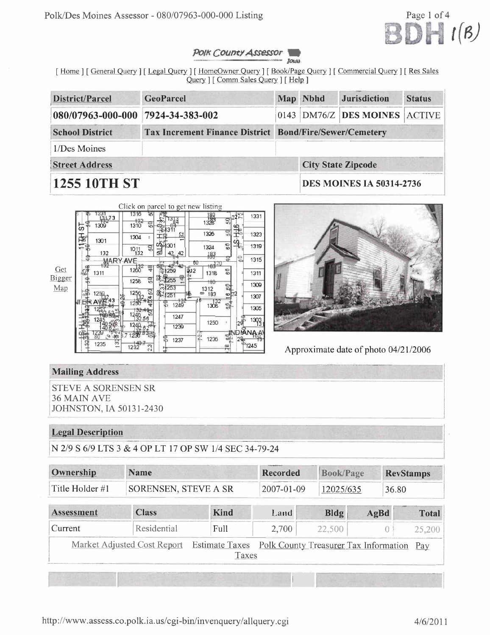

#### POIK COUPTY Assessor **JOUN**

[Home | [General Query | [Legal Query ] [HomeOwner Query ] [Book/Page Query ] [Commercial Query ] [Res Sales Query | [ Comm Sales Query | [ Help ]

| District/Parcel                   | <b>GeoParcel</b>                                               | Map Nbhd | <b>Jurisdiction</b>             | <b>Status</b> |
|-----------------------------------|----------------------------------------------------------------|----------|---------------------------------|---------------|
| 080/07963-000-000 7924-34-383-002 |                                                                |          | 0143 DM76/Z DES MOINES ACTIVE   |               |
| <b>School District</b>            | <b>Tax Increment Finance District Bond/Fire/Sewer/Cemetery</b> |          |                                 |               |
| 1/Des Moines                      |                                                                |          |                                 |               |
| <b>Street Address</b>             |                                                                |          | <b>City State Zipcode</b>       |               |
| <b>1255 10TH ST</b>               |                                                                |          | <b>DES MOINES IA 50314-2736</b> |               |





Approximate date of photo 04/21/2006

# **Mailing Address**

**STEVE A SORENSEN SR 36 MAIN AVE JOHNSTON, IA 50131-2430** 

## **Legal Description**

N 2/9 S 6/9 LTS 3 & 4 OP LT 17 OP SW 1/4 SEC 34-79-24

| Ownership         | <b>Name</b>                 |                                | <b>Recorded</b>                       | <b>Book/Page</b> |      | <b>RevStamps</b> |
|-------------------|-----------------------------|--------------------------------|---------------------------------------|------------------|------|------------------|
| Title Holder #1   | SORENSEN, STEVE A SR        |                                | 2007-01-09                            | 12025/635        |      | 36.80            |
| <b>Assessment</b> | <b>Class</b>                | <b>Kind</b>                    | Land                                  | Bldg             | AgBd | <b>Total</b>     |
| Current           | Residential                 | Full                           | 2,700                                 | 22,500           |      | 25,200           |
|                   | Market Adjusted Cost Report | <b>Estimate Taxes</b><br>Taxes | Polk County Treasurer Tax Information |                  |      | Pay              |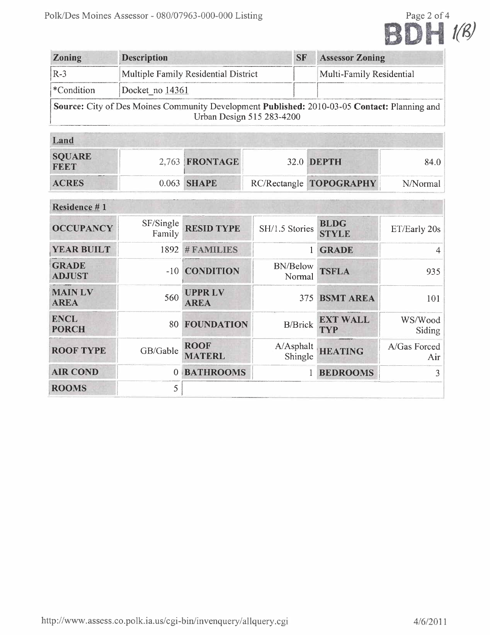

| <b>Zoning</b> | <b>Description</b>                                                                                                        | <b>SF</b> | <b>Assessor Zoning</b>   |
|---------------|---------------------------------------------------------------------------------------------------------------------------|-----------|--------------------------|
| $R-3$         | Multiple Family Residential District                                                                                      |           | Multi-Family Residential |
| *Condition    | Docket no 14361                                                                                                           |           |                          |
|               | Source: City of Des Moines Community Development Published: 2010-03-05 Contact: Planning and<br>Urban Design 515 283-4200 |           |                          |

| Land                         |                |                         |          |
|------------------------------|----------------|-------------------------|----------|
| <b>SQUARE</b><br><b>FEET</b> | 2,763 FRONTAGE | 32.0 <b>DEPTH</b>       | 84.0-    |
| <b>ACRES</b>                 | 0.063 SHAPE    | RC/Rectangle TOPOGRAPHY | N/Normal |

| Residence #1                  |                     |                              |                           |                               |                     |
|-------------------------------|---------------------|------------------------------|---------------------------|-------------------------------|---------------------|
| <b>OCCUPANCY</b>              | SF/Single<br>Family | <b>RESID TYPE</b>            | SH/1.5 Stories            | <b>BLDG</b><br><b>STYLE</b>   | ET/Early 20s        |
| <b>YEAR BUILT</b>             | 1892                | #FAMILIES                    |                           | <b>GRADE</b>                  | 4                   |
| <b>GRADE</b><br><b>ADJUST</b> | $-10$               | <b>CONDITION</b>             | <b>BN/Below</b><br>Normal | <b>TSFLA</b>                  | 935                 |
| <b>MAIN LV</b><br><b>AREA</b> | 560                 | <b>UPPRLV</b><br><b>AREA</b> |                           | 375 BSMT AREA                 | 101                 |
| <b>ENCL</b><br><b>PORCH</b>   | 80                  | <b>FOUNDATION</b>            | <b>B/Brick</b>            | <b>EXT WALL</b><br><b>TYP</b> | WS/Wood<br>Siding   |
| <b>ROOF TYPE</b>              | GB/Gable            | <b>ROOF</b><br><b>MATERL</b> | A/Asphalt<br>Shingle      | <b>HEATING</b>                | A/Gas Forced<br>Air |
| <b>AIR COND</b>               | $\theta$            | <b>BATHROOMS</b>             |                           | <b>BEDROOMS</b>               | 3                   |
| <b>ROOMS</b>                  | 5                   |                              |                           |                               |                     |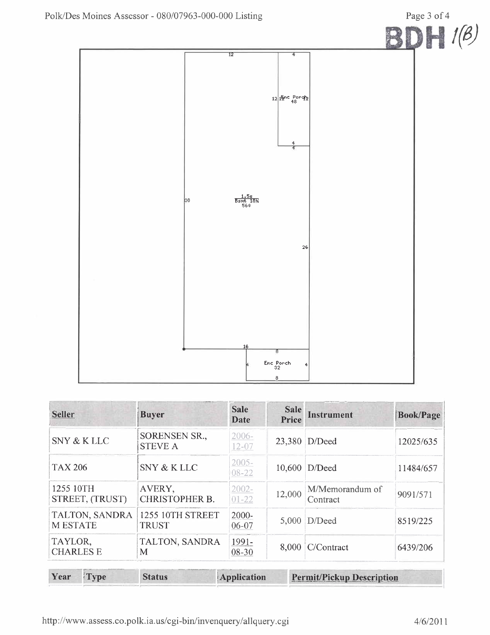

| <b>Seller</b>                    | <b>Buyer</b>                           | <b>Sale</b><br>Date   | <b>Sale</b><br>Price | <b>Instrument</b>           | <b>Book/Page</b> |
|----------------------------------|----------------------------------------|-----------------------|----------------------|-----------------------------|------------------|
| SNY & K LLC                      | <b>SORENSEN SR.,</b><br><b>STEVE A</b> | $2006 -$<br>$12 - 07$ |                      | 23,380 D/Deed               | 12025/635        |
| <b>TAX 206</b>                   | SNY & K LLC                            | $2005 -$<br>08-22     |                      | 10,600 D/Deed               | 11484/657        |
| 1255 10TH<br>STREET, (TRUST)     | AVERY,<br><b>CHRISTOPHER B.</b>        | $2002 -$<br>$01 - 22$ | 12,000               | M/Memorandum of<br>Contract | 9091/571         |
| TALTON, SANDRA<br><b>MESTATE</b> | 1255 10TH STREET<br><b>TRUST</b>       | $2000 -$<br>06-07     |                      | $5,000$ D/Deed              | 8519/225         |
| TAYLOR,<br><b>CHARLES E</b>      | TALTON, SANDRA<br>M                    | 1991-<br>08-30        | 8,000                | C/Contract                  | 6439/206         |

| Year | <b>Type</b> | <b>Status</b> | <b>Application</b> | <b>Permit/Pickup Description</b> |
|------|-------------|---------------|--------------------|----------------------------------|
|      |             |               |                    |                                  |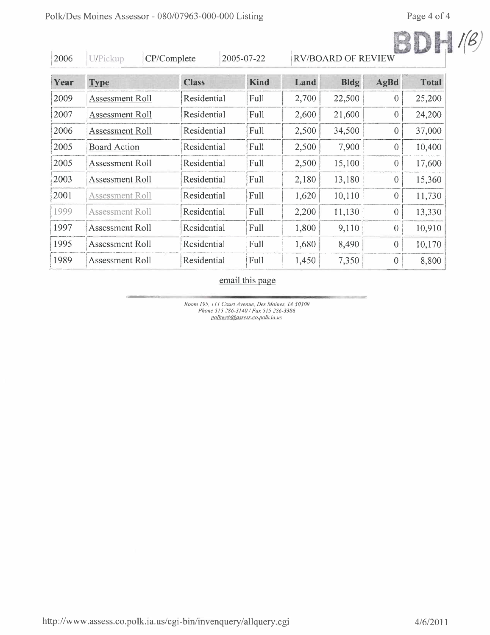| 2006 | U/Pickup               |  | CP/Complete  | 2005-07-22  |       | <b>RV/BOARD OF REVIEW</b> |                  |              |
|------|------------------------|--|--------------|-------------|-------|---------------------------|------------------|--------------|
| Year | <b>Type</b>            |  | <b>Class</b> | <b>Kind</b> | Land  | <b>Bldg</b>               | AgBd             | <b>Total</b> |
| 2009 | <b>Assessment Roll</b> |  | Residential  | Full        | 2,700 | 22,500                    | $\theta$         | 25,200       |
| 2007 | <b>Assessment Roll</b> |  | Residential  | Full        | 2,600 | 21,600                    | $\Omega$         | 24,200       |
| 2006 | Assessment Roll        |  | Residential  | Full        | 2,500 | 34,500                    | $\theta$         | 37,000       |
| 2005 | <b>Board Action</b>    |  | Residential  | Full        | 2,500 | 7,900                     | $\theta$         | 10,400       |
| 2005 | Assessment Roll        |  | Residential  | Full        | 2,500 | 15,100                    | $\boldsymbol{0}$ | 17,600       |
| 2003 | Assessment Roll        |  | Residential  | Full        | 2,180 | 13,180                    | $\theta$         | 15,360       |
| 2001 | <b>Assessment Roll</b> |  | Residential  | Full        | 1,620 | 10,110                    | $\mathbf{0}$     | 11,730       |
| 1999 | <b>Assessment Roll</b> |  | Residential  | Full        | 2,200 | 11,130                    | $\theta$         | 13,330       |
| 1997 | <b>Assessment Roll</b> |  | Residential  | Full        | 1,800 | 9,110                     | $\theta$         | 10,910       |
| 1995 | <b>Assessment Roll</b> |  | Residential  | Full        | 1,680 | 8,490                     | $\mathbf{0}$     | 10,170       |
| 1989 | <b>Assessment Roll</b> |  | Residential  | Full        | 1,450 | 7,350                     | $\theta$         | 8,800        |

## email this page

Room 195, 111 Court Avenue, Des Moines, 14 50309<br>Phone 515 286-3140 / Fax 515 286-3386<br>polkweb@assess.co.polk.ia.us

http://www.assess.co.polk.ia.us/cgi-bin/invenquery/allquery.cgi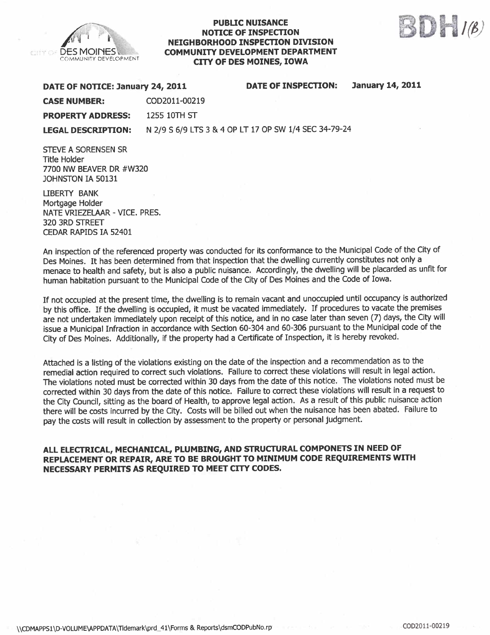

### **PUBLIC NUISANCE** NOTICE OF INSPECTON NEIGHBORHOOD INSPECTON DIVISION COMMUNITY DEVELOPMENT DEPARTMENT CITY OF DES MOINES, IOWA



#### DATE OF NOTICE: January 24, 2011 DATE OF INSPECTION: January 14, 2011

CASE NUMBER: COD2011-00219

PROPERTY ADDRESS: 1255 10TH ST

LEGAL DESCRIPTION: N 2/9 S 6/9 LTS 3 & 4 OP LT 17 OP SW 1/4 SEC 34-79-24

STEVE A SORENSEN SR Title Holder 7700 NW BEAVER DR #W320 JOHNSTON IA 50131

LIBERTY BANK Mortgage Holder NATE VRIEZELAR - VICE. PRES. 320 3RD STREET CEDAR RAPIDS IA 52401

An inspection of the referenced property was conducted for its conformance to the Municipal Code of the City of Des Moines. It has been determined from that inspection that the dwelling currently constitutes not only a menace to health and safety, but is also a public nuisance. Accordingly, the dwelling wil be placarded as unfit for human habitation pursuant to the Municipal Code of the City of Des Moines and the Code of Iowa.

If not occupied at the present time, the dwellng is to remain vacant and unoccupied until occupancy is authorized by this office. If the dwelling is occupied, it must be vacated immediately. If procedures to vacate the premises are not undertaken immediately upon receipt of this notice, and in no case later than seven (7) days, the City wil issue a Municipal Infraction in accordance with Section 60-304 and 60-306 pursuant to the Municipal code of the City of Des Moines. Additionally, if the property had a Certificate of Inspection, it is hereby revoked.

Attached is a listing of the violations existing on the date of the inspection and a recommendation as to the remedial action required to correct such violations. Failure to correct these violations will result in legal action. The violations noted must be corrected within 30 days from the date of this notice. The violations noted must be corrected within 30 days from the date of this notice. Failure to correct these violations will result in a request to the City Council, sitting as the board of Health, to approve legal action. As a result of this public nuisance action there will be costs incurred by the City. Costs will be billed out when the nuisance has been abated. Failure to pay the costs will result in collection by assessment to the property or personal judgment.

### ALL ELECTRICAL, MECHANICAL, PLUMBING, AND STRUCTURAL COMPONETS IN NEED OF REPLACEMENT OR REPAIR, ARE TO BE BROUGHT TO MINIMUM CODE REQUIREMENTS WITH NECESSARY PERMITS AS REQUIRED TO MEET CITY CODES.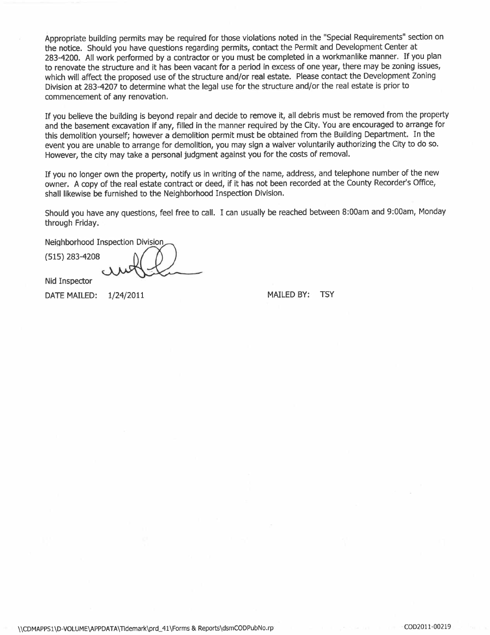Appropriate building permits may be required for those violations noted in the "Special Requirements" section on the notice. Should you have questions regarding permits, contact the Permit and Development Center at 283-4200. All work performed by a contractor or you must be completed in a workmanlike manner. If you plan to renovate the structure and it has been vacant for a period in excess of one year, there may be zoning issues, which will affect the proposed use of the structure and/or real estate. Please contact the Development Zoning Division at 283-4207 to determine what the legal use for the structure and/or the real estate is prior to commencement of any renovation.

If you believe the building is beyond repair and decide to remove it, all debris must be removed from the property and the basement excavation if any, filled in the manner required by the City. You are encouraged to arrange for this demolition yourself; however a demolition permit must be obtained from the Building Department. In the event you are unable to arrange for demolition, you may sign a waiver voluntarily authorizing the City to do so. However, the city may take a personal judgment against you for the costs of removaL.

If you no longer own the property, notify us in writing of the name, address, and telephone number of the new owner. A copy of the real estate contract or deed, if it has not been recorded at the County Recorder's Office, shall likewise be furnished to the Neighborhood Inspection Division.

Should you have any questions, feel free to calL. I can usually be reached between 8:00am and 9:00am, Monday through Friday.

Neighborhood Inspection Division

(515) 283-4208

Nid Inspector

DATE MAILED:  $1/24/2011$  MAILED BY: TSY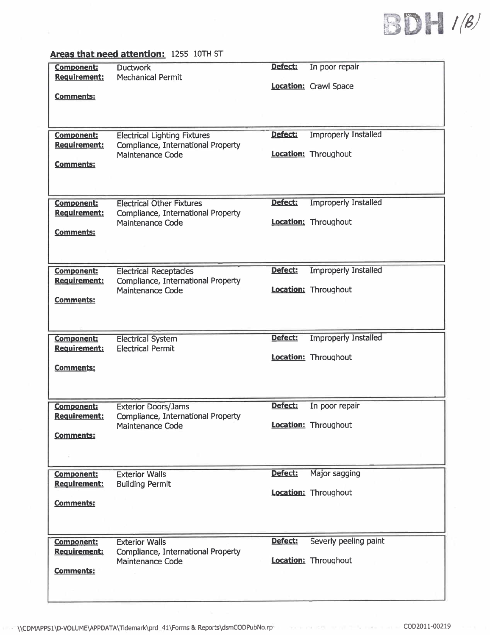

|                                          | <u>Areas that need attention:</u> 1255 1010 31                            |         |                             |
|------------------------------------------|---------------------------------------------------------------------------|---------|-----------------------------|
| <b>Component:</b><br><b>Requirement:</b> | <b>Ductwork</b><br><b>Mechanical Permit</b>                               | Defect: | In poor repair              |
| <b>Comments:</b>                         |                                                                           |         | Location: Crawl Space       |
|                                          |                                                                           |         |                             |
|                                          |                                                                           |         |                             |
| <b>Component:</b><br>Requirement:        | <b>Electrical Lighting Fixtures</b><br>Compliance, International Property | Defect: | <b>Improperly Installed</b> |
| <b>Comments:</b>                         | Maintenance Code                                                          |         | Location: Throughout        |
|                                          |                                                                           |         |                             |
| <b>Component:</b>                        | <b>Electrical Other Fixtures</b>                                          | Defect: | <b>Improperly Installed</b> |
| Requirement:                             | Compliance, International Property<br>Maintenance Code                    |         | <b>Location:</b> Throughout |
| <b>Comments:</b>                         |                                                                           |         |                             |
|                                          |                                                                           |         |                             |
| <b>Component:</b>                        | <b>Electrical Receptacles</b>                                             | Defect: | <b>Improperly Installed</b> |
| <b>Requirement:</b>                      | Compliance, International Property<br><b>Maintenance Code</b>             |         | Location: Throughout        |
| <b>Comments:</b>                         |                                                                           |         |                             |
|                                          |                                                                           |         |                             |
| <b>Component:</b><br>Requirement:        | <b>Electrical System</b><br><b>Electrical Permit</b>                      | Defect: | <b>Improperly Installed</b> |
| <b>Comments:</b>                         |                                                                           |         | Location: Throughout        |
|                                          |                                                                           |         |                             |
| <b>Component:</b>                        | <b>Exterior Doors/Jams</b>                                                | Defect: | In poor repair              |
| <b>Requirement:</b>                      | Compliance, International Property                                        |         | Location: Throughout        |
| <b>Comments:</b>                         | <b>Maintenance Code</b>                                                   |         |                             |
|                                          |                                                                           |         |                             |
| <b>Component:</b>                        | <b>Exterior Walls</b>                                                     | Defect: | Major sagging               |
| Requirement:                             | <b>Building Permit</b>                                                    |         | <b>Location:</b> Throughout |
| <b>Comments:</b>                         |                                                                           |         |                             |
|                                          |                                                                           |         |                             |
| <b>Component:</b><br>Requirement:        | <b>Exterior Walls</b><br>Compliance, International Property               | Defect: | Severly peeling paint       |
| <b>Comments:</b>                         | <b>Maintenance Code</b>                                                   |         | Location: Throughout        |
|                                          |                                                                           |         |                             |
|                                          |                                                                           |         |                             |